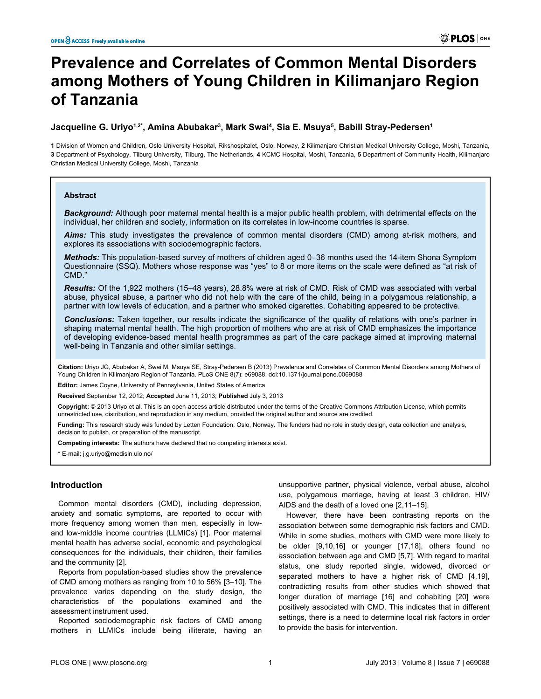# **Prevalence and Correlates of Common Mental Disorders among Mothers of Young Children in Kilimanjaro Region of Tanzania**

# **Jacqueline G. Uriyo1,2\*, Amina Abubakar<sup>3</sup> , Mark Swai<sup>4</sup> , Sia E. Msuya<sup>5</sup> , Babill Stray-Pedersen<sup>1</sup>**

**1** Division of Women and Children, Oslo University Hospital, Rikshospitalet, Oslo, Norway, **2** Kilimanjaro Christian Medical University College, Moshi, Tanzania, **3** Department of Psychology, Tilburg University, Tilburg, The Netherlands, **4** KCMC Hospital, Moshi, Tanzania, **5** Department of Community Health, Kilimanjaro Christian Medical University College, Moshi, Tanzania

## **Abstract**

*Background:* Although poor maternal mental health is a major public health problem, with detrimental effects on the individual, her children and society, information on its correlates in low-income countries is sparse.

*Aims:* This study investigates the prevalence of common mental disorders (CMD) among at-risk mothers, and explores its associations with sociodemographic factors.

*Methods:* This population-based survey of mothers of children aged 0–36 months used the 14-item Shona Symptom Questionnaire (SSQ). Mothers whose response was "yes" to 8 or more items on the scale were defined as "at risk of CMD."

*Results:* Of the 1,922 mothers (15–48 years), 28.8% were at risk of CMD. Risk of CMD was associated with verbal abuse, physical abuse, a partner who did not help with the care of the child, being in a polygamous relationship, a partner with low levels of education, and a partner who smoked cigarettes. Cohabiting appeared to be protective.

*Conclusions:* Taken together, our results indicate the significance of the quality of relations with one's partner in shaping maternal mental health. The high proportion of mothers who are at risk of CMD emphasizes the importance of developing evidence-based mental health programmes as part of the care package aimed at improving maternal well-being in Tanzania and other similar settings.

**Citation:** Uriyo JG, Abubakar A, Swai M, Msuya SE, Stray-Pedersen B (2013) Prevalence and Correlates of Common Mental Disorders among Mothers of Young Children in Kilimanjaro Region of Tanzania. PLoS ONE 8(7): e69088. doi:10.1371/journal.pone.0069088

**Editor:** James Coyne, University of Pennsylvania, United States of America

**Received** September 12, 2012; **Accepted** June 11, 2013; **Published** July 3, 2013

**Copyright:** © 2013 Uriyo et al. This is an open-access article distributed under the terms of the Creative Commons Attribution License, which permits unrestricted use, distribution, and reproduction in any medium, provided the original author and source are credited.

**Funding:** This research study was funded by Letten Foundation, Oslo, Norway. The funders had no role in study design, data collection and analysis, decision to publish, or preparation of the manuscript.

**Competing interests:** The authors have declared that no competing interests exist.

\* E-mail: j.g.uriyo@medisin.uio.no/

# **Introduction**

Common mental disorders (CMD), including depression, anxiety and somatic symptoms, are reported to occur with more frequency among women than men, especially in lowand low-middle income countries (LLMICs) [\[1\]](#page-5-0). Poor maternal mental health has adverse social, economic and psychological consequences for the individuals, their children, their families and the community [\[2\]](#page-5-0).

Reports from population-based studies show the prevalence of CMD among mothers as ranging from 10 to 56% [[3](#page-5-0)[–10\]](#page-6-0). The prevalence varies depending on the study design, the characteristics of the populations examined and the assessment instrument used.

Reported sociodemographic risk factors of CMD among mothers in LLMICs include being illiterate, having an

unsupportive partner, physical violence, verbal abuse, alcohol use, polygamous marriage, having at least 3 children, HIV/ AIDS and the death of a loved one [\[2](#page-5-0)[,11–15\]](#page-6-0).

However, there have been contrasting reports on the association between some demographic risk factors and CMD. While in some studies, mothers with CMD were more likely to be older [\[9,10,16\]](#page-6-0) or younger [[17](#page-6-0),[18](#page-6-0)], others found no association between age and CMD [\[5](#page-5-0)[,7](#page-6-0)]. With regard to marital status, one study reported single, widowed, divorced or separated mothers to have a higher risk of CMD [\[4](#page-5-0)[,19\]](#page-6-0), contradicting results from other studies which showed that longer duration of marriage [[16](#page-6-0)] and cohabiting [[20](#page-6-0)] were positively associated with CMD. This indicates that in different settings, there is a need to determine local risk factors in order to provide the basis for intervention.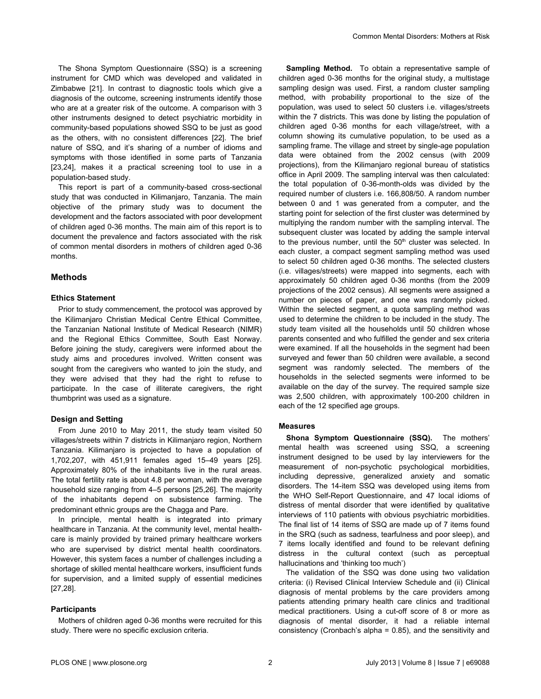The Shona Symptom Questionnaire (SSQ) is a screening instrument for CMD which was developed and validated in Zimbabwe [[21](#page-6-0)]. In contrast to diagnostic tools which give a diagnosis of the outcome, screening instruments identify those who are at a greater risk of the outcome. A comparison with 3 other instruments designed to detect psychiatric morbidity in community-based populations showed SSQ to be just as good as the others, with no consistent differences [\[22\]](#page-6-0). The brief nature of SSQ, and it's sharing of a number of idioms and symptoms with those identified in some parts of Tanzania [[23](#page-6-0),[24](#page-6-0)], makes it a practical screening tool to use in a population-based study.

This report is part of a community-based cross-sectional study that was conducted in Kilimanjaro, Tanzania. The main objective of the primary study was to document the development and the factors associated with poor development of children aged 0-36 months. The main aim of this report is to document the prevalence and factors associated with the risk of common mental disorders in mothers of children aged 0-36 months.

# **Methods**

## **Ethics Statement**

Prior to study commencement, the protocol was approved by the Kilimanjaro Christian Medical Centre Ethical Committee, the Tanzanian National Institute of Medical Research (NIMR) and the Regional Ethics Committee, South East Norway. Before joining the study, caregivers were informed about the study aims and procedures involved. Written consent was sought from the caregivers who wanted to join the study, and they were advised that they had the right to refuse to participate. In the case of illiterate caregivers, the right thumbprint was used as a signature.

#### **Design and Setting**

From June 2010 to May 2011, the study team visited 50 villages/streets within 7 districts in Kilimanjaro region, Northern Tanzania. Kilimanjaro is projected to have a population of 1,702,207, with 451,911 females aged 15–49 years [\[25\]](#page-6-0). Approximately 80% of the inhabitants live in the rural areas. The total fertility rate is about 4.8 per woman, with the average household size ranging from 4–5 persons [[25,26\]](#page-6-0). The majority of the inhabitants depend on subsistence farming. The predominant ethnic groups are the Chagga and Pare.

In principle, mental health is integrated into primary healthcare in Tanzania. At the community level, mental healthcare is mainly provided by trained primary healthcare workers who are supervised by district mental health coordinators. However, this system faces a number of challenges including a shortage of skilled mental healthcare workers, insufficient funds for supervision, and a limited supply of essential medicines [[27](#page-6-0),[28](#page-6-0)].

#### **Participants**

Mothers of children aged 0-36 months were recruited for this study. There were no specific exclusion criteria.

**Sampling Method.** To obtain a representative sample of children aged 0-36 months for the original study, a multistage sampling design was used. First, a random cluster sampling method, with probability proportional to the size of the population, was used to select 50 clusters i.e. villages/streets within the 7 districts. This was done by listing the population of children aged 0-36 months for each village/street, with a column showing its cumulative population, to be used as a sampling frame. The village and street by single-age population data were obtained from the 2002 census (with 2009 projections), from the Kilimanjaro regional bureau of statistics office in April 2009. The sampling interval was then calculated: the total population of 0-36-month-olds was divided by the required number of clusters i.e. 166,808/50. A random number between 0 and 1 was generated from a computer, and the starting point for selection of the first cluster was determined by multiplying the random number with the sampling interval. The subsequent cluster was located by adding the sample interval to the previous number, until the 50<sup>th</sup> cluster was selected. In each cluster, a compact segment sampling method was used to select 50 children aged 0-36 months. The selected clusters (i.e. villages/streets) were mapped into segments, each with approximately 50 children aged 0-36 months (from the 2009 projections of the 2002 census). All segments were assigned a number on pieces of paper, and one was randomly picked. Within the selected segment, a quota sampling method was used to determine the children to be included in the study. The study team visited all the households until 50 children whose parents consented and who fulfilled the gender and sex criteria were examined. If all the households in the segment had been surveyed and fewer than 50 children were available, a second segment was randomly selected. The members of the households in the selected segments were informed to be available on the day of the survey. The required sample size was 2,500 children, with approximately 100-200 children in each of the 12 specified age groups.

## **Measures**

**Shona Symptom Questionnaire (SSQ).** The mothers' mental health was screened using SSQ, a screening instrument designed to be used by lay interviewers for the measurement of non-psychotic psychological morbidities, including depressive, generalized anxiety and somatic disorders. The 14-item SSQ was developed using items from the WHO Self-Report Questionnaire, and 47 local idioms of distress of mental disorder that were identified by qualitative interviews of 110 patients with obvious psychiatric morbidities. The final list of 14 items of SSQ are made up of 7 items found in the SRQ (such as sadness, tearfulness and poor sleep), and 7 items locally identified and found to be relevant defining distress in the cultural context (such as perceptual hallucinations and 'thinking too much')

The validation of the SSQ was done using two validation criteria: (i) Revised Clinical Interview Schedule and (ii) Clinical diagnosis of mental problems by the care providers among patients attending primary health care clinics and traditional medical practitioners. Using a cut-off score of 8 or more as diagnosis of mental disorder, it had a reliable internal consistency (Cronbach's alpha = 0.85), and the sensitivity and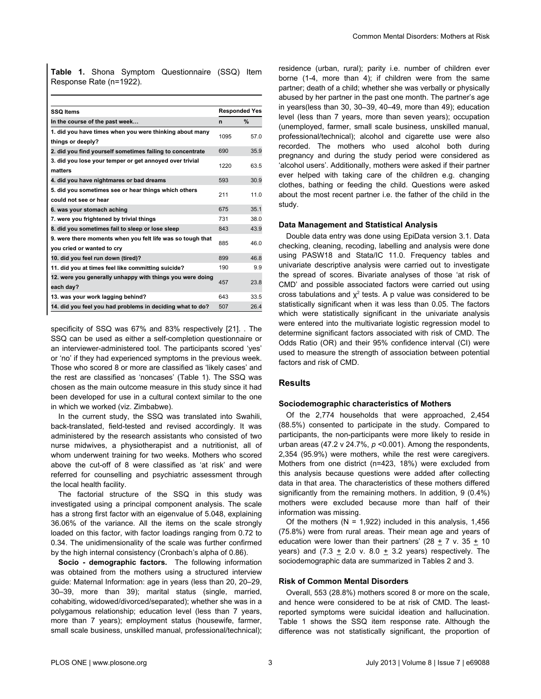**Table 1.** Shona Symptom Questionnaire (SSQ) Item Response Rate (n=1922).

| <b>SSO Items</b>                                           |      | <b>Responded Yes</b> |  |  |
|------------------------------------------------------------|------|----------------------|--|--|
| In the course of the past week                             | n    | $\frac{9}{6}$        |  |  |
| 1. did you have times when you were thinking about many    | 1095 | 57.0                 |  |  |
| things or deeply?                                          |      |                      |  |  |
| 2. did you find yourself sometimes failing to concentrate  | 690  | 35.9                 |  |  |
| 3. did you lose your temper or get annoyed over trivial    | 1220 | 63.5                 |  |  |
| matters                                                    |      |                      |  |  |
| 4. did you have nightmares or bad dreams                   | 593  | 30.9                 |  |  |
| 5. did you sometimes see or hear things which others       | 211  | 11.0                 |  |  |
| could not see or hear                                      |      |                      |  |  |
| 6. was your stomach aching                                 | 675  | 35.1                 |  |  |
| 7. were you frightened by trivial things                   | 731  | 38.0                 |  |  |
| 8. did you sometimes fail to sleep or lose sleep           | 843  | 43.9                 |  |  |
| 9. were there moments when you felt life was so tough that | 885  | 46.0                 |  |  |
| you cried or wanted to cry                                 |      |                      |  |  |
| 10. did you feel run down (tired)?                         | 899  | 46.8                 |  |  |
| 11. did you at times feel like committing suicide?         | 190  | 9.9                  |  |  |
| 12. were you generally unhappy with things you were doing  | 457  | 23.8                 |  |  |
| each dav?                                                  |      |                      |  |  |
| 13. was your work lagging behind?                          | 643  | 33.5                 |  |  |
| 14. did you feel you had problems in deciding what to do?  | 507  | 26.4                 |  |  |

specificity of SSQ was 67% and 83% respectively [\[21\]](#page-6-0). . The SSQ can be used as either a self-completion questionnaire or an interviewer-administered tool. The participants scored 'yes' or 'no' if they had experienced symptoms in the previous week. Those who scored 8 or more are classified as 'likely cases' and the rest are classified as 'noncases' (Table 1). The SSQ was chosen as the main outcome measure in this study since it had been developed for use in a cultural context similar to the one in which we worked (viz. Zimbabwe).

In the current study, the SSQ was translated into Swahili, back-translated, field-tested and revised accordingly. It was administered by the research assistants who consisted of two nurse midwives, a physiotherapist and a nutritionist, all of whom underwent training for two weeks. Mothers who scored above the cut-off of 8 were classified as 'at risk' and were referred for counselling and psychiatric assessment through the local health facility.

The factorial structure of the SSQ in this study was investigated using a principal component analysis. The scale has a strong first factor with an eigenvalue of 5.048, explaining 36.06% of the variance. All the items on the scale strongly loaded on this factor, with factor loadings ranging from 0.72 to 0.34. The unidimensionality of the scale was further confirmed by the high internal consistency (Cronbach's alpha of 0.86).

**Socio - demographic factors.** The following information was obtained from the mothers using a structured interview guide: Maternal Information: age in years (less than 20, 20–29, 30–39, more than 39); marital status (single, married, cohabiting, widowed/divorced/separated); whether she was in a polygamous relationship; education level (less than 7 years, more than 7 years); employment status (housewife, farmer, small scale business, unskilled manual, professional/technical);

residence (urban, rural); parity i.e. number of children ever borne (1-4, more than 4); if children were from the same partner; death of a child; whether she was verbally or physically abused by her partner in the past one month. The partner's age in years(less than 30, 30–39, 40–49, more than 49); education level (less than 7 years, more than seven years); occupation (unemployed, farmer, small scale business, unskilled manual, professional/technical); alcohol and cigarette use were also recorded. The mothers who used alcohol both during pregnancy and during the study period were considered as 'alcohol users'. Additionally, mothers were asked if their partner ever helped with taking care of the children e.g. changing clothes, bathing or feeding the child. Questions were asked about the most recent partner i.e. the father of the child in the study.

#### **Data Management and Statistical Analysis**

Double data entry was done using EpiData version 3.1. Data checking, cleaning, recoding, labelling and analysis were done using PASW18 and Stata/IC 11.0. Frequency tables and univariate descriptive analysis were carried out to investigate the spread of scores. Bivariate analyses of those 'at risk of CMD' and possible associated factors were carried out using cross tabulations and  $\chi^2$  tests. A p value was considered to be statistically significant when it was less than 0.05. The factors which were statistically significant in the univariate analysis were entered into the multivariate logistic regression model to determine significant factors associated with risk of CMD. The Odds Ratio (OR) and their 95% confidence interval (CI) were used to measure the strength of association between potential factors and risk of CMD.

# **Results**

## **Sociodemographic characteristics of Mothers**

Of the 2,774 households that were approached, 2,454 (88.5%) consented to participate in the study. Compared to participants, the non-participants were more likely to reside in urban areas (47.2 v 24.7%, *p* <0.001). Among the respondents, 2,354 (95.9%) were mothers, while the rest were caregivers. Mothers from one district (n=423, 18%) were excluded from this analysis because questions were added after collecting data in that area. The characteristics of these mothers differed significantly from the remaining mothers. In addition, 9 (0.4%) mothers were excluded because more than half of their information was missing.

Of the mothers  $(N = 1,922)$  included in this analysis, 1,456 (75.8%) were from rural areas. Their mean age and years of education were lower than their partners' (28  $\pm$  7 v. 35  $\pm$  10 years) and  $(7.3 \pm 2.0 \text{ v. } 8.0 \pm 3.2 \text{ years})$  respectively. The sociodemographic data are summarized in [Tables 2](#page-3-0) and [3](#page-4-0).

## **Risk of Common Mental Disorders**

Overall, 553 (28.8%) mothers scored 8 or more on the scale, and hence were considered to be at risk of CMD. The leastreported symptoms were suicidal ideation and hallucination. Table 1 shows the SSQ item response rate. Although the difference was not statistically significant, the proportion of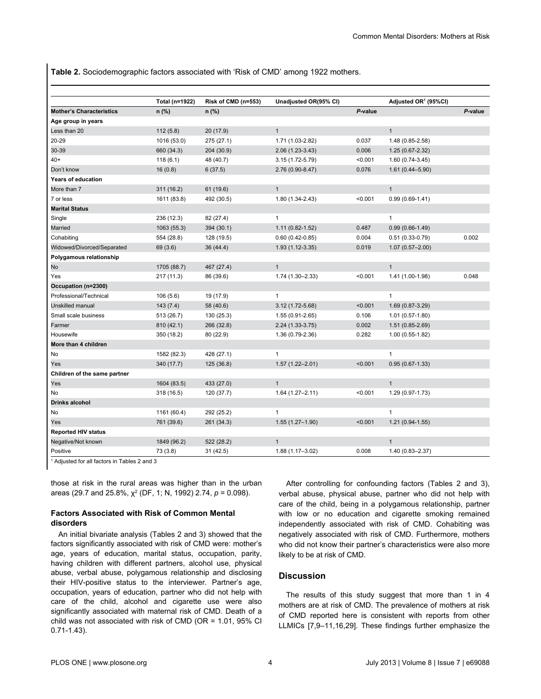<span id="page-3-0"></span>**Table 2.** Sociodemographic factors associated with 'Risk of CMD' among 1922 mothers.

|                                 | Total (n=1922) | Risk of CMD (n=553) | Unadjusted OR(95% CI) |         | Adjusted OR <sup>1</sup> (95%CI) |         |
|---------------------------------|----------------|---------------------|-----------------------|---------|----------------------------------|---------|
| <b>Mother's Characteristics</b> | $n$ (%)        | $n$ (%)             |                       | P-value |                                  | P-value |
| Age group in years              |                |                     |                       |         |                                  |         |
| Less than 20                    | 112(5.8)       | 20 (17.9)           | $\mathbf{1}$          |         | $\mathbf{1}$                     |         |
| 20-29                           | 1016 (53.0)    | 275 (27.1)          | 1.71 (1.03-2.82)      | 0.037   | 1.48 (0.85-2.58)                 |         |
| 30-39                           | 660 (34.3)     | 204 (30.9)          | 2.06 (1.23-3.43)      | 0.006   | 1.25 (0.67-2.32)                 |         |
| $40+$                           | 118(6.1)       | 48 (40.7)           | 3.15 (1.72-5.79)      | < 0.001 | 1.60 (0.74-3.45)                 |         |
| Don't know                      | 16(0.8)        | 6(37.5)             | 2.76 (0.90-8.47)      | 0.076   | $1.61(0.44 - 5.90)$              |         |
| <b>Years of education</b>       |                |                     |                       |         |                                  |         |
| More than 7                     | 311 (16.2)     | 61 (19.6)           | $\mathbf{1}$          |         | $\mathbf{1}$                     |         |
| 7 or less                       | 1611 (83.8)    | 492 (30.5)          | 1.80 (1.34-2.43)      | < 0.001 | $0.99(0.69 - 1.41)$              |         |
| <b>Marital Status</b>           |                |                     |                       |         |                                  |         |
| Single                          | 236 (12.3)     | 82 (27.4)           | $\mathbf{1}$          |         | $\mathbf{1}$                     |         |
| Married                         | 1063 (55.3)    | 394 (30.1)          | $1.11(0.82 - 1.52)$   | 0.487   | $0.99(0.66-1.49)$                |         |
| Cohabiting                      | 554 (28.8)     | 128 (19.5)          | $0.60(0.42 - 0.85)$   | 0.004   | $0.51(0.33 - 0.79)$              | 0.002   |
| Widowed/Divorced/Separated      | 69 (3.6)       | 36 (44.4)           | $1.93(1.12-3.35)$     | 0.019   | $1.07(0.57 - 2.00)$              |         |
| Polygamous relationship         |                |                     |                       |         |                                  |         |
| No                              | 1705 (88.7)    | 467 (27.4)          | $\mathbf{1}$          |         | $\mathbf{1}$                     |         |
| Yes                             | 217 (11.3)     | 86 (39.6)           | $1.74(1.30 - 2.33)$   | < 0.001 | 1.41 (1.00-1.98)                 | 0.048   |
| Occupation (n=2300)             |                |                     |                       |         |                                  |         |
| Professional/Technical          | 106 (5.6)      | 19 (17.9)           | $\mathbf{1}$          |         | $\mathbf{1}$                     |         |
| Unskilled manual                | 143(7.4)       | 58 (40.6)           | 3.12 (1.72-5.68)      | < 0.001 | 1.69 (0.87-3.29)                 |         |
| Small scale business            | 513 (26.7)     | 130 (25.3)          | 1.55 (0.91-2.65)      | 0.106   | 1.01 (0.57-1.80)                 |         |
| Farmer                          | 810 (42.1)     | 266 (32.8)          | 2.24 (1.33-3.75)      | 0.002   | 1.51 (0.85-2.69)                 |         |
| Housewife                       | 350 (18.2)     | 80 (22.9)           | 1.36 (0.79-2.36)      | 0.282   | 1.00 (0.55-1.82)                 |         |
| More than 4 children            |                |                     |                       |         |                                  |         |
| No                              | 1582 (82.3)    | 428 (27.1)          | 1                     |         | $\mathbf{1}$                     |         |
| Yes                             | 340 (17.7)     | 125 (36.8)          | $1.57(1.22 - 2.01)$   | < 0.001 | $0.95(0.67 - 1.33)$              |         |
| Children of the same partner    |                |                     |                       |         |                                  |         |
| Yes                             | 1604 (83.5)    | 433 (27.0)          | $\mathbf{1}$          |         | $\mathbf{1}$                     |         |
| No                              | 318 (16.5)     | 120 (37.7)          | $1.64(1.27 - 2.11)$   | < 0.001 | 1.29 (0.97-1.73)                 |         |
| <b>Drinks alcohol</b>           |                |                     |                       |         |                                  |         |
| No                              | 1161 (60.4)    | 292 (25.2)          | $\mathbf{1}$          |         | $\mathbf{1}$                     |         |
| Yes                             | 761 (39.6)     | 261 (34.3)          | $1.55(1.27 - 1.90)$   | < 0.001 | $1.21(0.94-1.55)$                |         |
| <b>Reported HIV status</b>      |                |                     |                       |         |                                  |         |
| Negative/Not known              | 1849 (96.2)    | 522 (28.2)          | $\mathbf{1}$          |         | $\mathbf{1}$                     |         |
| Positive                        | 73 (3.8)       | 31 (42.5)           | $1.88(1.17 - 3.02)$   | 0.008   | $1.40(0.83 - 2.37)$              |         |
|                                 |                |                     |                       |         |                                  |         |

1 Adjusted for all factors in Tables 2 and [3](#page-4-0)

those at risk in the rural areas was higher than in the urban areas (29.7 and 25.8%, χ<sup>2</sup> (DF, 1; N, 1992) 2.74, *p* = 0.098).

## **Factors Associated with Risk of Common Mental disorders**

An initial bivariate analysis (Tables 2 and [3\)](#page-4-0) showed that the factors significantly associated with risk of CMD were: mother's age, years of education, marital status, occupation, parity, having children with different partners, alcohol use, physical abuse, verbal abuse, polygamous relationship and disclosing their HIV-positive status to the interviewer. Partner's age, occupation, years of education, partner who did not help with care of the child, alcohol and cigarette use were also significantly associated with maternal risk of CMD. Death of a child was not associated with risk of CMD (OR = 1.01, 95% CI 0.71-1.43).

After controlling for confounding factors (Tables 2 and [3\)](#page-4-0), verbal abuse, physical abuse, partner who did not help with care of the child, being in a polygamous relationship, partner with low or no education and cigarette smoking remained independently associated with risk of CMD. Cohabiting was negatively associated with risk of CMD. Furthermore, mothers who did not know their partner's characteristics were also more likely to be at risk of CMD.

# **Discussion**

The results of this study suggest that more than 1 in 4 mothers are at risk of CMD. The prevalence of mothers at risk of CMD reported here is consistent with reports from other LLMICs [[7,9–11,16,29\]](#page-6-0). These findings further emphasize the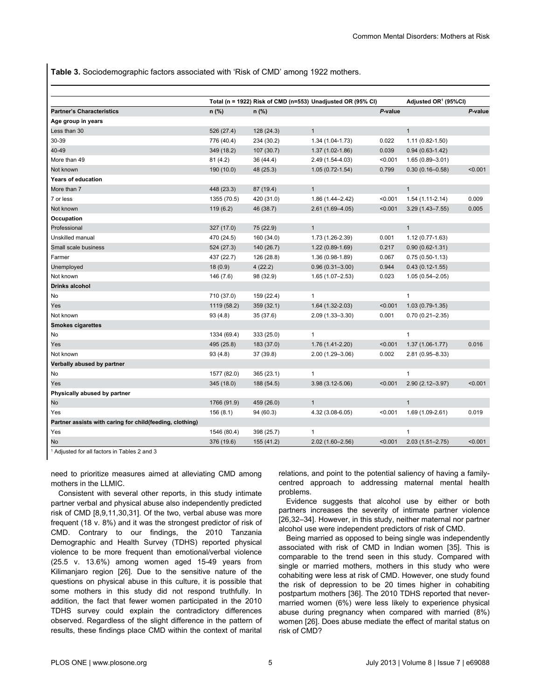<span id="page-4-0"></span>**Table 3.** Sociodemographic factors associated with 'Risk of CMD' among 1922 mothers.

| Total (n = 1922) Risk of CMD (n=553) Unadjusted OR (95% CI)<br>Adjusted OR <sup>1</sup> (95%CI)<br><b>Partner's Characteristics</b><br>P-value<br>$n$ (%)<br>$n$ (%)<br>Age group in years<br>Less than 30<br>526 (27.4)<br>128 (24.3)<br>$\mathbf{1}$<br>$\mathbf{1}$<br>30-39<br>776 (40.4)<br>234 (30.2)<br>$1.34(1.04-1.73)$<br>0.022<br>$1.11(0.82 - 1.50)$<br>40-49<br>349 (18.2)<br>107(30.7)<br>$1.37(1.02 - 1.86)$<br>0.039<br>$0.94(0.63-1.42)$ | P-value<br>< 0.001 |
|-----------------------------------------------------------------------------------------------------------------------------------------------------------------------------------------------------------------------------------------------------------------------------------------------------------------------------------------------------------------------------------------------------------------------------------------------------------|--------------------|
|                                                                                                                                                                                                                                                                                                                                                                                                                                                           |                    |
|                                                                                                                                                                                                                                                                                                                                                                                                                                                           |                    |
|                                                                                                                                                                                                                                                                                                                                                                                                                                                           |                    |
|                                                                                                                                                                                                                                                                                                                                                                                                                                                           |                    |
|                                                                                                                                                                                                                                                                                                                                                                                                                                                           |                    |
|                                                                                                                                                                                                                                                                                                                                                                                                                                                           |                    |
| More than 49<br>81(4.2)<br>36 (44.4)<br>2.49 (1.54-4.03)<br>< 0.001<br>$1.65(0.89 - 3.01)$                                                                                                                                                                                                                                                                                                                                                                |                    |
| Not known<br>0.799<br>190 (10.0)<br>48 (25.3)<br>$1.05(0.72 - 1.54)$<br>$0.30(0.16 - 0.58)$                                                                                                                                                                                                                                                                                                                                                               |                    |
| <b>Years of education</b>                                                                                                                                                                                                                                                                                                                                                                                                                                 |                    |
| $\mathbf{1}$<br>$\mathbf{1}$<br>More than 7<br>448 (23.3)<br>87 (19.4)                                                                                                                                                                                                                                                                                                                                                                                    |                    |
| 7 or less<br>420 (31.0)<br>$1.86(1.44 - 2.42)$<br>< 0.001<br>$1.54(1.11-2.14)$<br>1355 (70.5)                                                                                                                                                                                                                                                                                                                                                             | 0.009              |
| $2.61(1.69 - 4.05)$<br>< 0.001<br>Not known<br>119(6.2)<br>46 (38.7)<br>$3.29(1.43 - 7.55)$                                                                                                                                                                                                                                                                                                                                                               | 0.005              |
| Occupation                                                                                                                                                                                                                                                                                                                                                                                                                                                |                    |
| $\mathbf{1}$<br>$\mathbf{1}$<br>Professional<br>327 (17.0)<br>75 (22.9)                                                                                                                                                                                                                                                                                                                                                                                   |                    |
| 0.001<br>Unskilled manual<br>160 (34.0)<br>1.73 (1.26-2.39)<br>$1.12(0.77-1.63)$<br>470 (24.5)                                                                                                                                                                                                                                                                                                                                                            |                    |
| 524 (27.3)<br>140 (26.7)<br>1.22 (0.89-1.69)<br>0.217<br>$0.90(0.62 - 1.31)$<br>Small scale business                                                                                                                                                                                                                                                                                                                                                      |                    |
| 437 (22.7)<br>126 (28.8)<br>1.36 (0.98-1.89)<br>0.067<br>$0.75(0.50-1.13)$<br>Farmer                                                                                                                                                                                                                                                                                                                                                                      |                    |
| 18(0.9)<br>4(22.2)<br>$0.96(0.31 - 3.00)$<br>0.944<br>$0.43(0.12-1.55)$<br>Unemployed                                                                                                                                                                                                                                                                                                                                                                     |                    |
| 0.023<br>$1.05(0.54 - 2.05)$<br>Not known<br>146 (7.6)<br>98 (32.9)<br>$1.65(1.07 - 2.53)$                                                                                                                                                                                                                                                                                                                                                                |                    |
| Drinks alcohol                                                                                                                                                                                                                                                                                                                                                                                                                                            |                    |
| 710 (37.0)<br>159 (22.4)<br>$\mathbf{1}$<br>$\mathbf{1}$<br>No                                                                                                                                                                                                                                                                                                                                                                                            |                    |
| 1119 (58.2)<br>$1.64(1.32-2.03)$<br>< 0.001<br>$1.03(0.79-1.35)$<br>359 (32.1)<br>Yes                                                                                                                                                                                                                                                                                                                                                                     |                    |
| Not known<br>93(4.8)<br>35 (37.6)<br>$2.09(1.33 - 3.30)$<br>0.001<br>$0.70(0.21 - 2.35)$                                                                                                                                                                                                                                                                                                                                                                  |                    |
| <b>Smokes cigarettes</b>                                                                                                                                                                                                                                                                                                                                                                                                                                  |                    |
| 1334 (69.4)<br>333 (25.0)<br>No<br>$\mathbf{1}$<br>$\mathbf{1}$                                                                                                                                                                                                                                                                                                                                                                                           |                    |
| 495 (25.8)<br>183 (37.0)<br>1.76 (1.41-2.20)<br>< 0.001<br>$1.37(1.06-1.77)$<br>Yes                                                                                                                                                                                                                                                                                                                                                                       | 0.016              |
| 0.002<br>Not known<br>93(4.8)<br>37 (39.8)<br>$2.00(1.29 - 3.06)$<br>$2.81(0.95 - 8.33)$                                                                                                                                                                                                                                                                                                                                                                  |                    |
| Verbally abused by partner                                                                                                                                                                                                                                                                                                                                                                                                                                |                    |
| No<br>1577 (82.0)<br>365 (23.1)<br>$\mathbf{1}$<br>$\mathbf{1}$                                                                                                                                                                                                                                                                                                                                                                                           |                    |
| < 0.001<br>345 (18.0)<br>188 (54.5)<br>$3.98(3.12 - 5.06)$<br>$2.90(2.12 - 3.97)$<br>Yes                                                                                                                                                                                                                                                                                                                                                                  | < 0.001            |
| Physically abused by partner                                                                                                                                                                                                                                                                                                                                                                                                                              |                    |
| 1766 (91.9)<br>459 (26.0)<br>$\mathbf{1}$<br>$\mathbf{1}$<br>No                                                                                                                                                                                                                                                                                                                                                                                           |                    |
| 156(8.1)<br>< 0.001<br>1.69 (1.09-2.61)<br>Yes<br>94 (60.3)<br>4.32 (3.08-6.05)                                                                                                                                                                                                                                                                                                                                                                           | 0.019              |
| Partner assists with caring for child(feeding, clothing)                                                                                                                                                                                                                                                                                                                                                                                                  |                    |
| Yes<br>1546 (80.4)<br>398 (25.7)<br>$\mathbf{1}$<br>$\mathbf{1}$                                                                                                                                                                                                                                                                                                                                                                                          |                    |
| 376 (19.6)<br>$2.02(1.60 - 2.56)$<br>< 0.001<br>$2.03(1.51 - 2.75)$<br>No<br>155 (41.2)                                                                                                                                                                                                                                                                                                                                                                   | < 0.001            |

1 Adjusted for all factors in [Tables 2](#page-3-0) and 3

need to prioritize measures aimed at alleviating CMD among mothers in the LLMIC.

Consistent with several other reports, in this study intimate partner verbal and physical abuse also independently predicted risk of CMD [[8,9,11,30](#page-6-0),[31](#page-6-0)]. Of the two, verbal abuse was more frequent (18 v. 8%) and it was the strongest predictor of risk of CMD. Contrary to our findings, the 2010 Tanzania Demographic and Health Survey (TDHS) reported physical violence to be more frequent than emotional/verbal violence (25.5 v. 13.6%) among women aged 15-49 years from Kilimanjaro region [[26](#page-6-0)]. Due to the sensitive nature of the questions on physical abuse in this culture, it is possible that some mothers in this study did not respond truthfully. In addition, the fact that fewer women participated in the 2010 TDHS survey could explain the contradictory differences observed. Regardless of the slight difference in the pattern of results, these findings place CMD within the context of marital

relations, and point to the potential saliency of having a familycentred approach to addressing maternal mental health problems.

Evidence suggests that alcohol use by either or both partners increases the severity of intimate partner violence [[26](#page-6-0),[32](#page-6-0)–[34](#page-6-0)]. However, in this study, neither maternal nor partner alcohol use were independent predictors of risk of CMD.

Being married as opposed to being single was independently associated with risk of CMD in Indian women [[35\]](#page-6-0). This is comparable to the trend seen in this study. Compared with single or married mothers, mothers in this study who were cohabiting were less at risk of CMD. However, one study found the risk of depression to be 20 times higher in cohabiting postpartum mothers [[36](#page-6-0)]. The 2010 TDHS reported that nevermarried women (6%) were less likely to experience physical abuse during pregnancy when compared with married (8%) women [[26](#page-6-0)]. Does abuse mediate the effect of marital status on risk of CMD?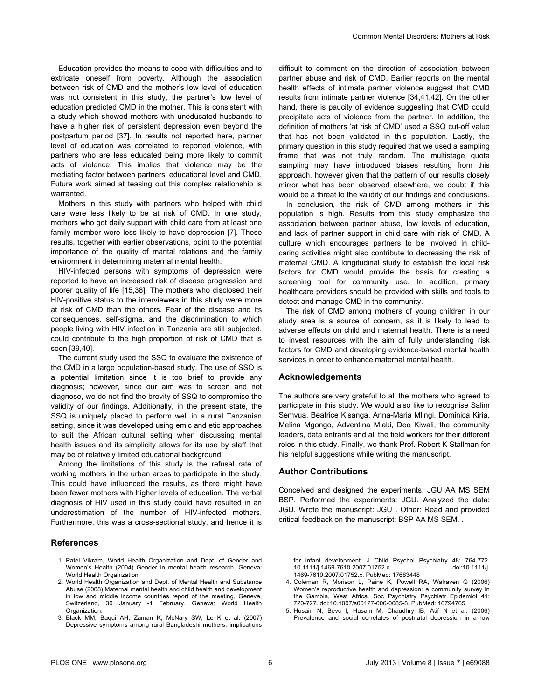<span id="page-5-0"></span>Education provides the means to cope with difficulties and to extricate oneself from poverty. Although the association between risk of CMD and the mother's low level of education was not consistent in this study, the partner's low level of education predicted CMD in the mother. This is consistent with a study which showed mothers with uneducated husbands to have a higher risk of persistent depression even beyond the postpartum period [[37](#page-6-0)]. In results not reported here, partner level of education was correlated to reported violence, with partners who are less educated being more likely to commit acts of violence. This implies that violence may be the mediating factor between partners' educational level and CMD. Future work aimed at teasing out this complex relationship is warranted.

Mothers in this study with partners who helped with child care were less likely to be at risk of CMD. In one study, mothers who got daily support with child care from at least one family member were less likely to have depression [\[7\]](#page-6-0). These results, together with earlier observations, point to the potential importance of the quality of marital relations and the family environment in determining maternal mental health.

HIV-infected persons with symptoms of depression were reported to have an increased risk of disease progression and poorer quality of life [[15,38\]](#page-6-0). The mothers who disclosed their HIV-positive status to the interviewers in this study were more at risk of CMD than the others. Fear of the disease and its consequences, self-stigma, and the discrimination to which people living with HIV infection in Tanzania are still subjected, could contribute to the high proportion of risk of CMD that is seen [[39](#page-6-0),[40](#page-6-0)].

The current study used the SSQ to evaluate the existence of the CMD in a large population-based study. The use of SSQ is a potential limitation since it is too brief to provide any diagnosis; however, since our aim was to screen and not diagnose, we do not find the brevity of SSQ to compromise the validity of our findings. Additionally, in the present state, the SSQ is uniquely placed to perform well in a rural Tanzanian setting, since it was developed using emic and etic approaches to suit the African cultural setting when discussing mental health issues and its simplicity allows for its use by staff that may be of relatively limited educational background.

Among the limitations of this study is the refusal rate of working mothers in the urban areas to participate in the study. This could have influenced the results, as there might have been fewer mothers with higher levels of education. The verbal diagnosis of HIV used in this study could have resulted in an underestimation of the number of HIV-infected mothers. Furthermore, this was a cross-sectional study, and hence it is

# **References**

- 1. Patel Vikram, World Health Organization and Dept. of Gender and Women's Health (2004) Gender in mental health research. Geneva: World Health Organization.
- 2. World Health Organization and Dept. of Mental Health and Substance Abuse (2008) Maternal mental health and child health and development in low and middle income countries report of the meeting, Geneva, Switzerland, 30 January -1 February. Geneva: World Health Organization.
- 3. Black MM, Baqui AH, Zaman K, McNary SW, Le K et al. (2007) Depressive symptoms among rural Bangladeshi mothers: implications

difficult to comment on the direction of association between partner abuse and risk of CMD. Earlier reports on the mental health effects of intimate partner violence suggest that CMD results from intimate partner violence [\[34,41](#page-6-0),[42](#page-6-0)]. On the other hand, there is paucity of evidence suggesting that CMD could precipitate acts of violence from the partner. In addition, the definition of mothers 'at risk of CMD' used a SSQ cut-off value that has not been validated in this population. Lastly, the primary question in this study required that we used a sampling frame that was not truly random. The multistage quota sampling may have introduced biases resulting from this approach, however given that the pattern of our results closely mirror what has been observed elsewhere, we doubt if this would be a threat to the validity of our findings and conclusions.

In conclusion, the risk of CMD among mothers in this population is high. Results from this study emphasize the association between partner abuse, low levels of education, and lack of partner support in child care with risk of CMD. A culture which encourages partners to be involved in childcaring activities might also contribute to decreasing the risk of maternal CMD. A longitudinal study to establish the local risk factors for CMD would provide the basis for creating a screening tool for community use. In addition, primary healthcare providers should be provided with skills and tools to detect and manage CMD in the community.

The risk of CMD among mothers of young children in our study area is a source of concern, as it is likely to lead to adverse effects on child and maternal health. There is a need to invest resources with the aim of fully understanding risk factors for CMD and developing evidence-based mental health services in order to enhance maternal mental health.

## **Acknowledgements**

The authors are very grateful to all the mothers who agreed to participate in this study. We would also like to recognise Salim Semvua, Beatrice Kisanga, Anna-Maria Mlingi, Dominica Kiria, Melina Mgongo, Adventina Mlaki, Deo Kiwali, the community leaders, data entrants and all the field workers for their different roles in this study. Finally, we thank Prof. Robert K Stallman for his helpful suggestions while writing the manuscript.

# **Author Contributions**

Conceived and designed the experiments: JGU AA MS SEM BSP. Performed the experiments: JGU. Analyzed the data: JGU. Wrote the manuscript: JGU . Other: Read and provided critical feedback on the manuscript: BSP AA MS SEM. .

for infant development. J Child Psychol Psychiatry 48: 764-772. 10.1111/j.1469-7610.2007.01752.x. doi:10.1111/j. 1469-7610.2007.01752.x. PubMed: 17683448

- 4. Coleman R, Morison L, Paine K, Powell RA, Walraven G (2006) Women's reproductive health and depression: a community survey in the Gambia, West Africa. Soc Psychiatry Psychiatr Epidemiol 41: 720-727. doi[:10.1007/s00127-006-0085-8.](http://dx.doi.org/10.1007/s00127-006-0085-8) PubMed: [16794765.](http://www.ncbi.nlm.nih.gov/pubmed/16794765)
- 5. Husain N, Bevc I, Husain M, Chaudhry IB, Atif N et al. (2006) Prevalence and social correlates of postnatal depression in a low